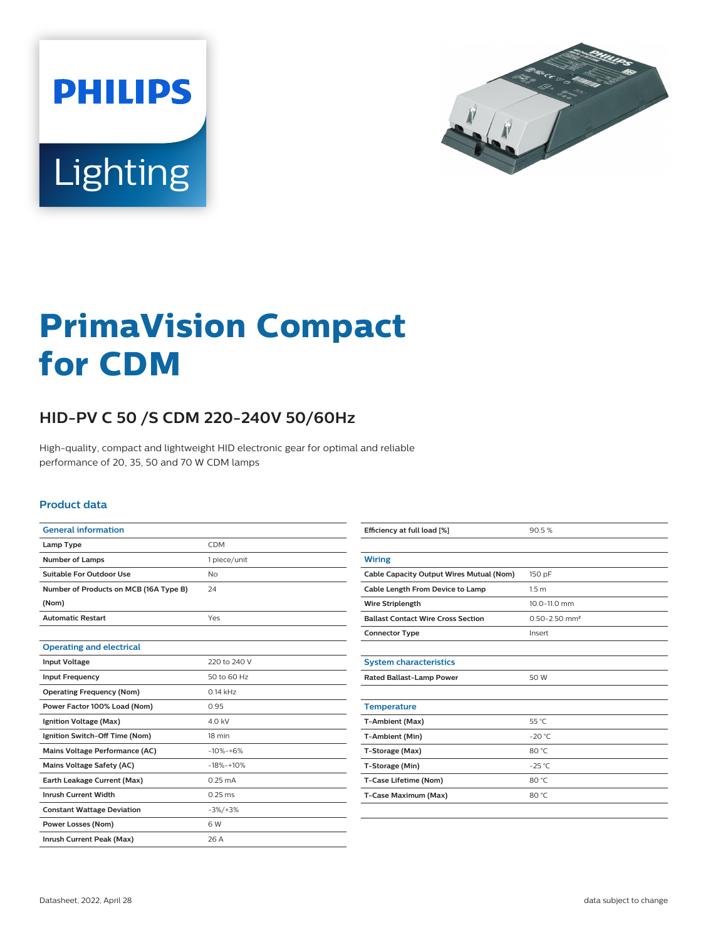



# **PrimaVision Compact for CDM**

## **HID-PV C 50 /S CDM 220-240V 50/60Hz**

High-quality, compact and lightweight HID electronic gear for optimal and reliable performance of 20, 35, 50 and 70 W CDM lamps

#### **Product data**

| <b>General information</b>             |                   |
|----------------------------------------|-------------------|
| Lamp Type                              | <b>CDM</b>        |
| <b>Number of Lamps</b>                 | 1 piece/unit      |
| Suitable For Outdoor Use               | N <sub>O</sub>    |
| Number of Products on MCB (16A Type B) | 24                |
| (Nom)                                  |                   |
| <b>Automatic Restart</b>               | Yes               |
|                                        |                   |
| <b>Operating and electrical</b>        |                   |
| <b>Input Voltage</b>                   | 220 to 240 V      |
| <b>Input Frequency</b>                 | 50 to 60 Hz       |
| <b>Operating Frequency (Nom)</b>       | $0.14$ kHz        |
| Power Factor 100% Load (Nom)           | 0.95              |
| Ignition Voltage (Max)                 | 4.0 kV            |
| Ignition Switch-Off Time (Nom)         | 18 min            |
| Mains Voltage Performance (AC)         | $-10% - +6%$      |
| <b>Mains Voltage Safety (AC)</b>       | $-18% -10%$       |
| Earth Leakage Current (Max)            | $0.25 \text{ mA}$ |
| <b>Inrush Current Width</b>            | $0.25$ ms         |
| <b>Constant Wattage Deviation</b>      | $-3\%/+3\%$       |
| Power Losses (Nom)                     | 6W                |
| Inrush Current Peak (Max)              | 26 A              |

| Efficiency at full load [%]               | 90.5%                         |
|-------------------------------------------|-------------------------------|
|                                           |                               |
| <b>Wiring</b>                             |                               |
| Cable Capacity Output Wires Mutual (Nom)  | 150 pF                        |
| Cable Length From Device to Lamp          | 1.5 <sub>m</sub>              |
| <b>Wire Striplength</b>                   | 10.0-11.0 mm                  |
| <b>Ballast Contact Wire Cross Section</b> | $0.50 - 2.50$ mm <sup>2</sup> |
| <b>Connector Type</b>                     | Insert                        |
|                                           |                               |
| <b>System characteristics</b>             |                               |
| <b>Rated Ballast-Lamp Power</b>           | 50 W                          |
|                                           |                               |
| <b>Temperature</b>                        |                               |
| T-Ambient (Max)                           | 55 °C                         |
| T-Ambient (Min)                           | $-20$ °C                      |
| T-Storage (Max)                           | 80 °C                         |
| T-Storage (Min)                           | $-25$ °C                      |
| T-Case Lifetime (Nom)                     | 80 °C                         |
| T-Case Maximum (Max)                      | 80 °C                         |
|                                           |                               |